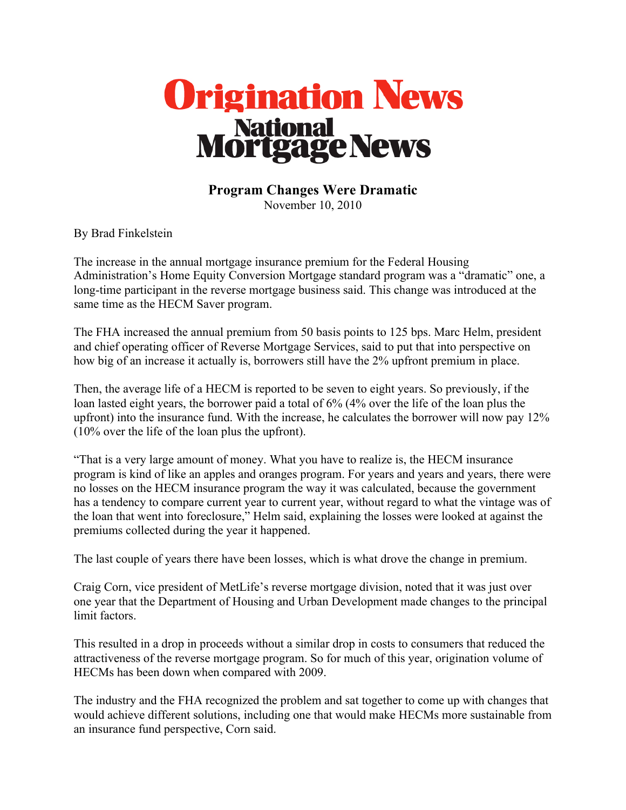

## **Program Changes Were Dramatic** November 10, 2010

By Brad Finkelstein

The increase in the annual mortgage insurance premium for the Federal Housing Administration's Home Equity Conversion Mortgage standard program was a "dramatic" one, a long-time participant in the reverse mortgage business said. This change was introduced at the same time as the HECM Saver program.

The FHA increased the annual premium from 50 basis points to 125 bps. Marc Helm, president and chief operating officer of Reverse Mortgage Services, said to put that into perspective on how big of an increase it actually is, borrowers still have the 2% upfront premium in place.

Then, the average life of a HECM is reported to be seven to eight years. So previously, if the loan lasted eight years, the borrower paid a total of 6% (4% over the life of the loan plus the upfront) into the insurance fund. With the increase, he calculates the borrower will now pay 12% (10% over the life of the loan plus the upfront).

"That is a very large amount of money. What you have to realize is, the HECM insurance program is kind of like an apples and oranges program. For years and years and years, there were no losses on the HECM insurance program the way it was calculated, because the government has a tendency to compare current year to current year, without regard to what the vintage was of the loan that went into foreclosure," Helm said, explaining the losses were looked at against the premiums collected during the year it happened.

The last couple of years there have been losses, which is what drove the change in premium.

Craig Corn, vice president of MetLife's reverse mortgage division, noted that it was just over one year that the Department of Housing and Urban Development made changes to the principal limit factors.

This resulted in a drop in proceeds without a similar drop in costs to consumers that reduced the attractiveness of the reverse mortgage program. So for much of this year, origination volume of HECMs has been down when compared with 2009.

The industry and the FHA recognized the problem and sat together to come up with changes that would achieve different solutions, including one that would make HECMs more sustainable from an insurance fund perspective, Corn said.